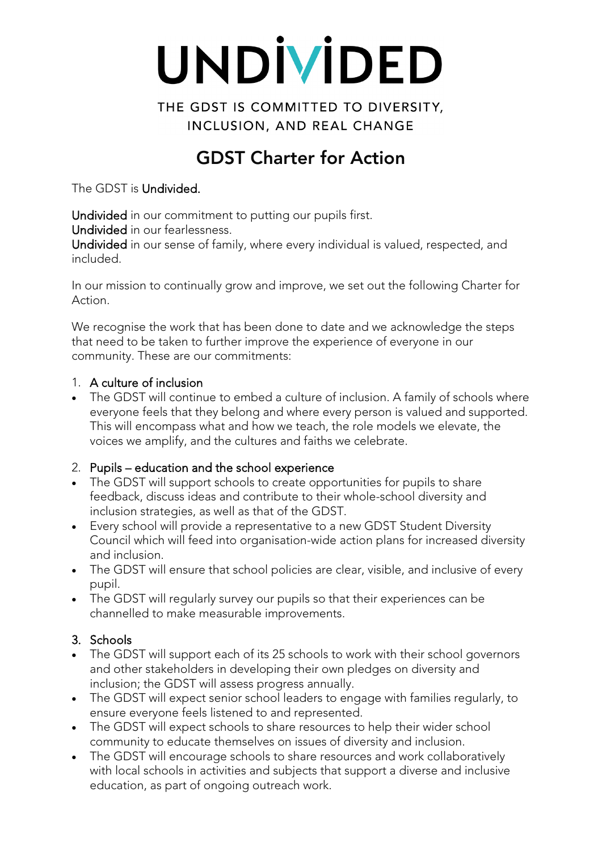# UNDİVİDED

THE GDST IS COMMITTED TO DIVERSITY. INCLUSION, AND REAL CHANGE

# GDST Charter for Action

The GDST is Undivided.

Undivided in our commitment to putting our pupils first. Undivided in our fearlessness.

Undivided in our sense of family, where every individual is valued, respected, and included.

In our mission to continually grow and improve, we set out the following Charter for Action.

We recognise the work that has been done to date and we acknowledge the steps that need to be taken to further improve the experience of everyone in our community. These are our commitments:

#### 1. A culture of inclusion

• The GDST will continue to embed a culture of inclusion. A family of schools where everyone feels that they belong and where every person is valued and supported. This will encompass what and how we teach, the role models we elevate, the voices we amplify, and the cultures and faiths we celebrate.

## 2. Pupils – education and the school experience

- The GDST will support schools to create opportunities for pupils to share feedback, discuss ideas and contribute to their whole-school diversity and inclusion strategies, as well as that of the GDST.
- Every school will provide a representative to a new GDST Student Diversity Council which will feed into organisation-wide action plans for increased diversity and inclusion.
- The GDST will ensure that school policies are clear, visible, and inclusive of every pupil.
- The GDST will regularly survey our pupils so that their experiences can be channelled to make measurable improvements.

## 3. Schools

- The GDST will support each of its 25 schools to work with their school governors and other stakeholders in developing their own pledges on diversity and inclusion; the GDST will assess progress annually.
- The GDST will expect senior school leaders to engage with families regularly, to ensure everyone feels listened to and represented.
- The GDST will expect schools to share resources to help their wider school community to educate themselves on issues of diversity and inclusion.
- The GDST will encourage schools to share resources and work collaboratively with local schools in activities and subjects that support a diverse and inclusive education, as part of ongoing outreach work.